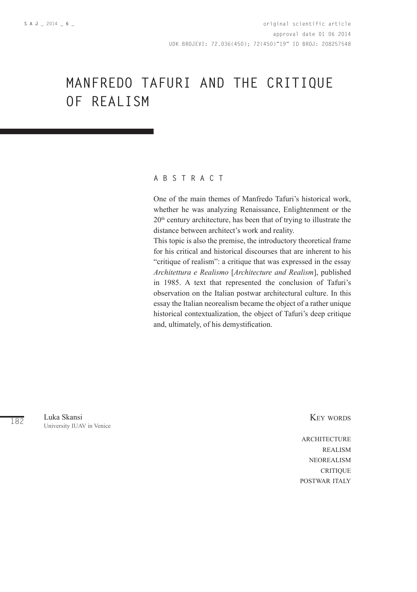# **MANFREDO TAFURI AND THE CRITIQUE OF REALISM**

## **A B S T R A C T**

One of the main themes of Manfredo Tafuri's historical work, whether he was analyzing Renaissance, Enlightenment or the 20<sup>th</sup> century architecture, has been that of trying to illustrate the distance between architect's work and reality.

This topic is also the premise, the introductory theoretical frame for his critical and historical discourses that are inherent to his "critique of realism": a critique that was expressed in the essay *Architettura e Realismo* [*Architecture and Realism*], published in 1985. A text that represented the conclusion of Tafuri's observation on the Italian postwar architectural culture. In this essay the Italian neorealism became the object of a rather unique historical contextualization, the object of Tafuri's deep critique and, ultimately, of his demystification.

182 Luka Skansi University IUAV in Venice Key words

**ARCHITECTURE REALISM** neorealism **CRITIQUE** postwar italy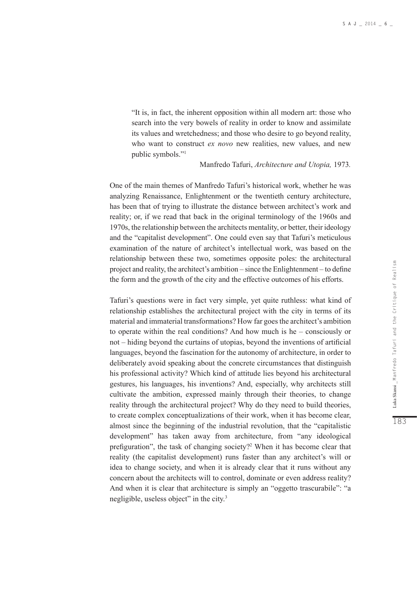"It is, in fact, the inherent opposition within all modern art: those who search into the very bowels of reality in order to know and assimilate its values and wretchedness; and those who desire to go beyond reality, who want to construct *ex novo* new realities, new values, and new public symbols."1

#### Manfredo Tafuri, *Architecture and Utopia,* 1973*.*

One of the main themes of Manfredo Tafuri's historical work, whether he was analyzing Renaissance, Enlightenment or the twentieth century architecture, has been that of trying to illustrate the distance between architect's work and reality; or, if we read that back in the original terminology of the 1960s and 1970s, the relationship between the architects mentality, or better, their ideology and the "capitalist development". One could even say that Tafuri's meticulous examination of the nature of architect's intellectual work, was based on the relationship between these two, sometimes opposite poles: the architectural project and reality, the architect's ambition – since the Enlightenment – to define the form and the growth of the city and the effective outcomes of his efforts.

Tafuri's questions were in fact very simple, yet quite ruthless: what kind of relationship establishes the architectural project with the city in terms of its material and immaterial transformations? How far goes the architect's ambition to operate within the real conditions? And how much is he – consciously or not – hiding beyond the curtains of utopias, beyond the inventions of artificial languages, beyond the fascination for the autonomy of architecture, in order to deliberately avoid speaking about the concrete circumstances that distinguish his professional activity? Which kind of attitude lies beyond his architectural gestures, his languages, his inventions? And, especially, why architects still cultivate the ambition, expressed mainly through their theories, to change reality through the architectural project? Why do they need to build theories, to create complex conceptualizations of their work, when it has become clear, almost since the beginning of the industrial revolution, that the "capitalistic development" has taken away from architecture, from "any ideological prefiguration", the task of changing society?<sup>2</sup> When it has become clear that reality (the capitalist development) runs faster than any architect's will or idea to change society, and when it is already clear that it runs without any concern about the architects will to control, dominate or even address reality? And when it is clear that architecture is simply an "oggetto trascurabile": "a negligible, useless object" in the city.<sup>3</sup>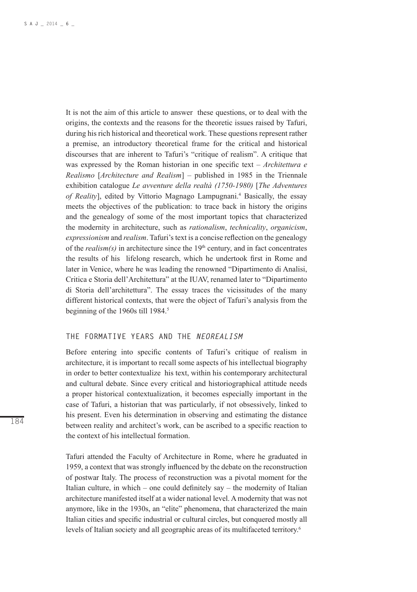It is not the aim of this article to answer these questions, or to deal with the origins, the contexts and the reasons for the theoretic issues raised by Tafuri, during his rich historical and theoretical work. These questions represent rather a premise, an introductory theoretical frame for the critical and historical discourses that are inherent to Tafuri's "critique of realism". A critique that was expressed by the Roman historian in one specific text – *Architettura e Realismo* [*Architecture and Realism*] – published in 1985 in the Triennale exhibition catalogue *Le avventure della realtà (1750-1980)* [*The Adventures*  of Reality], edited by Vittorio Magnago Lampugnani.<sup>4</sup> Basically, the essay meets the objectives of the publication: to trace back in history the origins and the genealogy of some of the most important topics that characterized the modernity in architecture, such as *rationalism*, *technicality*, *organicism*, *expressionism* and *realism*. Tafuri's text is a concise reflection on the genealogy of the  $realism(s)$  in architecture since the  $19<sup>th</sup>$  century, and in fact concentrates the results of his lifelong research, which he undertook first in Rome and later in Venice, where he was leading the renowned "Dipartimento di Analisi, Critica e Storia dell'Architettura" at the IUAV, renamed later to "Dipartimento di Storia dell'architettura". The essay traces the vicissitudes of the many different historical contexts, that were the object of Tafuri's analysis from the beginning of the 1960s till 1984.<sup>5</sup>

#### **THE FORMATIVE YEARS AND THE** *NEOREALISM*

Before entering into specific contents of Tafuri's critique of realism in architecture, it is important to recall some aspects of his intellectual biography in order to better contextualize his text, within his contemporary architectural and cultural debate. Since every critical and historiographical attitude needs a proper historical contextualization, it becomes especially important in the case of Tafuri, a historian that was particularly, if not obsessively, linked to his present. Even his determination in observing and estimating the distance between reality and architect's work, can be ascribed to a specific reaction to the context of his intellectual formation.

Tafuri attended the Faculty of Architecture in Rome, where he graduated in 1959, a context that was strongly influenced by the debate on the reconstruction of postwar Italy. The process of reconstruction was a pivotal moment for the Italian culture, in which – one could definitely say – the modernity of Italian architecture manifested itself at a wider national level. A modernity that was not anymore, like in the 1930s, an "elite" phenomena, that characterized the main Italian cities and specific industrial or cultural circles, but conquered mostly all levels of Italian society and all geographic areas of its multifaceted territory.6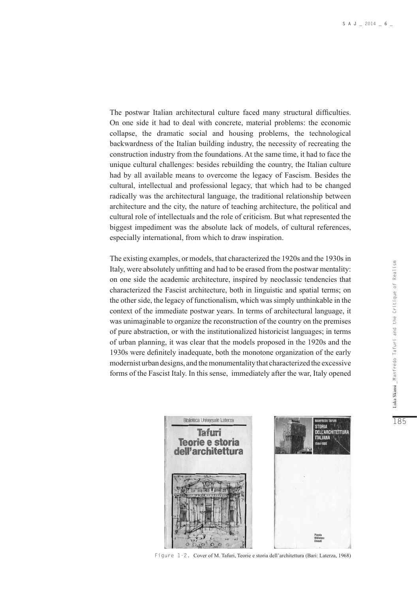The postwar Italian architectural culture faced many structural difficulties. On one side it had to deal with concrete, material problems: the economic collapse, the dramatic social and housing problems, the technological backwardness of the Italian building industry, the necessity of recreating the construction industry from the foundations. At the same time, it had to face the unique cultural challenges: besides rebuilding the country, the Italian culture had by all available means to overcome the legacy of Fascism. Besides the cultural, intellectual and professional legacy, that which had to be changed radically was the architectural language, the traditional relationship between architecture and the city, the nature of teaching architecture, the political and cultural role of intellectuals and the role of criticism. But what represented the biggest impediment was the absolute lack of models, of cultural references, especially international, from which to draw inspiration.

The existing examples, or models, that characterized the 1920s and the 1930s in Italy, were absolutely unfitting and had to be erased from the postwar mentality: on one side the academic architecture, inspired by neoclassic tendencies that characterized the Fascist architecture, both in linguistic and spatial terms; on the other side, the legacy of functionalism, which was simply unthinkable in the context of the immediate postwar years. In terms of architectural language, it was unimaginable to organize the reconstruction of the country on the premises of pure abstraction, or with the institutionalized historicist languages; in terms of urban planning, it was clear that the models proposed in the 1920s and the 1930s were definitely inadequate, both the monotone organization of the early modernist urban designs, and the monumentality that characterized the excessive forms of the Fascist Italy. In this sense, immediately after the war, Italy opened



Figure 1-2. Cover of M. Tafuri, Teorie e storia dell'architettura (Bari: Laterza, 1968)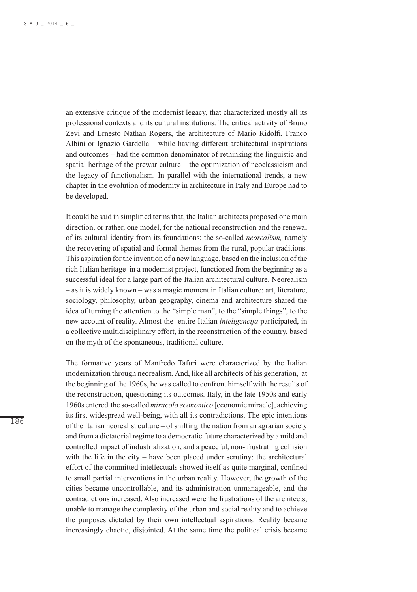an extensive critique of the modernist legacy, that characterized mostly all its professional contexts and its cultural institutions. The critical activity of Bruno Zevi and Ernesto Nathan Rogers, the architecture of Mario Ridolfi, Franco Albini or Ignazio Gardella – while having different architectural inspirations and outcomes – had the common denominator of rethinking the linguistic and spatial heritage of the prewar culture – the optimization of neoclassicism and the legacy of functionalism. In parallel with the international trends, a new chapter in the evolution of modernity in architecture in Italy and Europe had to be developed.

It could be said in simplified terms that, the Italian architects proposed one main direction, or rather, one model, for the national reconstruction and the renewal of its cultural identity from its foundations: the so-called *neorealism,* namely the recovering of spatial and formal themes from the rural, popular traditions. This aspiration for the invention of a new language, based on the inclusion of the rich Italian heritage in a modernist project, functioned from the beginning as a successful ideal for a large part of the Italian architectural culture. Neorealism – as it is widely known – was a magic moment in Italian culture: art, literature, sociology, philosophy, urban geography, cinema and architecture shared the idea of turning the attention to the "simple man", to the "simple things", to the new account of reality. Almost the entire Italian *inteligencija* participated, in a collective multidisciplinary effort, in the reconstruction of the country, based on the myth of the spontaneous, traditional culture.

The formative years of Manfredo Tafuri were characterized by the Italian modernization through neorealism. And, like all architects of his generation, at the beginning of the 1960s, he was called to confront himself with the results of the reconstruction, questioning its outcomes. Italy, in the late 1950s and early 1960s entered the so-called *miracolo economico* [economic miracle], achieving its first widespread well-being, with all its contradictions. The epic intentions of the Italian neorealist culture – of shifting the nation from an agrarian society and from a dictatorial regime to a democratic future characterized by a mild and controlled impact of industrialization, and a peaceful, non- frustrating collision with the life in the city – have been placed under scrutiny: the architectural effort of the committed intellectuals showed itself as quite marginal, confined to small partial interventions in the urban reality. However, the growth of the cities became uncontrollable, and its administration unmanageable, and the contradictions increased. Also increased were the frustrations of the architects, unable to manage the complexity of the urban and social reality and to achieve the purposes dictated by their own intellectual aspirations. Reality became increasingly chaotic, disjointed. At the same time the political crisis became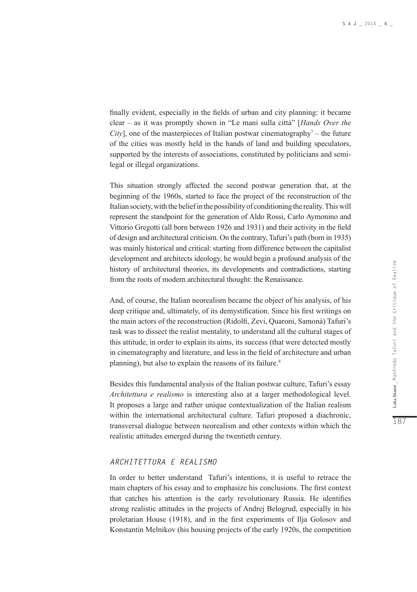finally evident, especially in the fields of urban and city planning: it became clear – as it was promptly shown in "Le mani sulla città" [*Hands Over the City*], one of the masterpieces of Italian postwar cinematography<sup> $7$ </sup> – the future of the cities was mostly held in the hands of land and building speculators, supported by the interests of associations, constituted by politicians and semilegal or illegal organizations.

This situation strongly affected the second postwar generation that, at the beginning of the 1960s, started to face the project of the reconstruction of the Italian society, with the belief in the possibility of conditioning the reality. This will represent the standpoint for the generation of Aldo Rossi, Carlo Aymonino and Vittorio Gregotti (all born between 1926 and 1931) and their activity in the field of design and architectural criticism. On the contrary, Tafuri's path (born in 1935) was mainly historical and critical: starting from difference between the capitalist development and architects ideology, he would begin a profound analysis of the history of architectural theories, its developments and contradictions, starting from the roots of modern architectural thought: the Renaissance.

And, of course, the Italian neorealism became the object of his analysis, of his deep critique and, ultimately, of its demystification. Since his first writings on the main actors of the reconstruction (Ridolfi, Zevi, Quaroni, Samonà) Tafuri's task was to dissect the realist mentality, to understand all the cultural stages of this attitude, in order to explain its aims, its success (that were detected mostly in cinematography and literature, and less in the field of architecture and urban planning), but also to explain the reasons of its failure.<sup>8</sup>

Besides this fundamental analysis of the Italian postwar culture, Tafuri's essay *Architettura e realismo* is interesting also at a larger methodological level. It proposes a large and rather unique contextualization of the Italian realism within the international architectural culture. Tafuri proposed a diachronic, transversal dialogue between neorealism and other contexts within which the realistic attitudes emerged during the twentieth century.

# *ARCHITETTURA E REALISMO*

In order to better understand Tafuri's intentions, it is useful to retrace the main chapters of his essay and to emphasize his conclusions. The first context that catches his attention is the early revolutionary Russia. He identifies strong realistic attitudes in the projects of Andrej Belogrud, especially in his proletarian House (1918), and in the first experiments of Ilja Golosov and Konstantin Melnikov (his housing projects of the early 1920s, the competition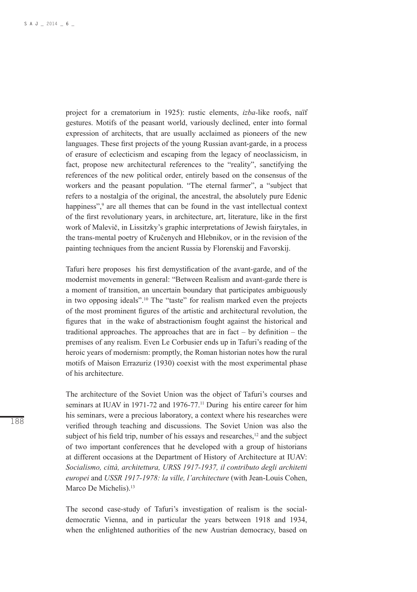project for a crematorium in 1925): rustic elements, *izba-*like roofs, naïf gestures. Motifs of the peasant world, variously declined, enter into formal expression of architects, that are usually acclaimed as pioneers of the new languages. These first projects of the young Russian avant-garde, in a process of erasure of eclecticism and escaping from the legacy of neoclassicism, in fact, propose new architectural references to the "reality", sanctifying the references of the new political order, entirely based on the consensus of the workers and the peasant population. "The eternal farmer", a "subject that refers to a nostalgia of the original, the ancestral, the absolutely pure Edenic happiness",<sup>9</sup> are all themes that can be found in the vast intellectual context of the first revolutionary years, in architecture, art, literature, like in the first work of Malevič, in Lissitzky's graphic interpretations of Jewish fairytales, in the trans-mental poetry of Kručenych and Hlebnikov, or in the revision of the painting techniques from the ancient Russia by Florenskij and Favorskij.

Tafuri here proposes his first demystification of the avant-garde, and of the modernist movements in general: "Between Realism and avant-garde there is a moment of transition, an uncertain boundary that participates ambiguously in two opposing ideals".10 The "taste" for realism marked even the projects of the most prominent figures of the artistic and architectural revolution, the figures that in the wake of abstractionism fought against the historical and traditional approaches. The approaches that are in fact  $-$  by definition  $-$  the premises of any realism. Even Le Corbusier ends up in Tafuri's reading of the heroic years of modernism: promptly, the Roman historian notes how the rural motifs of Maison Errazuriz (1930) coexist with the most experimental phase of his architecture.

The architecture of the Soviet Union was the object of Tafuri's courses and seminars at IUAV in 1971-72 and 1976-77.<sup>11</sup> During his entire career for him his seminars, were a precious laboratory, a context where his researches were verified through teaching and discussions. The Soviet Union was also the subject of his field trip, number of his essays and researches, $12$  and the subject of two important conferences that he developed with a group of historians at different occasions at the Department of History of Architecture at IUAV: *Socialismo, città, architettura, URSS 1917-1937, il contributo degli architetti europei* and *USSR 1917-1978: la ville, l'architecture* (with Jean-Louis Cohen, Marco De Michelis).<sup>13</sup>

The second case-study of Tafuri's investigation of realism is the socialdemocratic Vienna, and in particular the years between 1918 and 1934, when the enlightened authorities of the new Austrian democracy, based on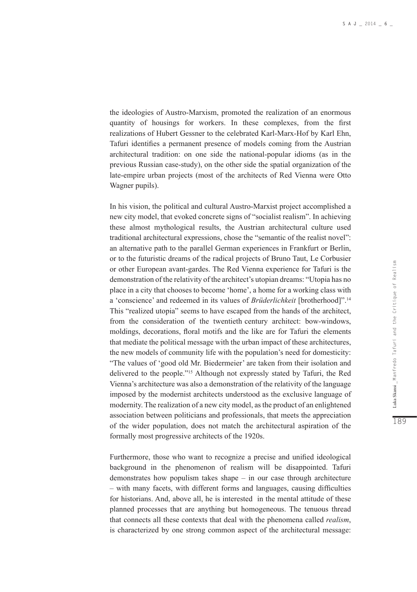the ideologies of Austro-Marxism, promoted the realization of an enormous quantity of housings for workers. In these complexes, from the first realizations of Hubert Gessner to the celebrated Karl-Marx-Hof by Karl Ehn, Tafuri identifies a permanent presence of models coming from the Austrian architectural tradition: on one side the national-popular idioms (as in the previous Russian case-study), on the other side the spatial organization of the late-empire urban projects (most of the architects of Red Vienna were Otto Wagner pupils).

In his vision, the political and cultural Austro-Marxist project accomplished a new city model, that evoked concrete signs of "socialist realism". In achieving these almost mythological results, the Austrian architectural culture used traditional architectural expressions, chose the "semantic of the realist novel": an alternative path to the parallel German experiences in Frankfurt or Berlin, or to the futuristic dreams of the radical projects of Bruno Taut, Le Corbusier or other European avant-gardes. The Red Vienna experience for Tafuri is the demonstration of the relativity of the architect's utopian dreams: "Utopia has no place in a city that chooses to become 'home', a home for a working class with a 'conscience' and redeemed in its values of *Brüderlichkeit* [brotherhood]".14 This "realized utopia" seems to have escaped from the hands of the architect, from the consideration of the twentieth century architect: bow-windows, moldings, decorations, floral motifs and the like are for Tafuri the elements that mediate the political message with the urban impact of these architectures, the new models of community life with the population's need for domesticity: "The values of 'good old Mr. Biedermeier' are taken from their isolation and delivered to the people."15 Although not expressly stated by Tafuri, the Red Vienna's architecture was also a demonstration of the relativity of the language imposed by the modernist architects understood as the exclusive language of modernity. The realization of a new city model, as the product of an enlightened association between politicians and professionals, that meets the appreciation of the wider population, does not match the architectural aspiration of the formally most progressive architects of the 1920s.

Furthermore, those who want to recognize a precise and unified ideological background in the phenomenon of realism will be disappointed. Tafuri demonstrates how populism takes shape – in our case through architecture – with many facets, with different forms and languages, causing difficulties for historians. And, above all, he is interested in the mental attitude of these planned processes that are anything but homogeneous. The tenuous thread that connects all these contexts that deal with the phenomena called *realism*, is characterized by one strong common aspect of the architectural message: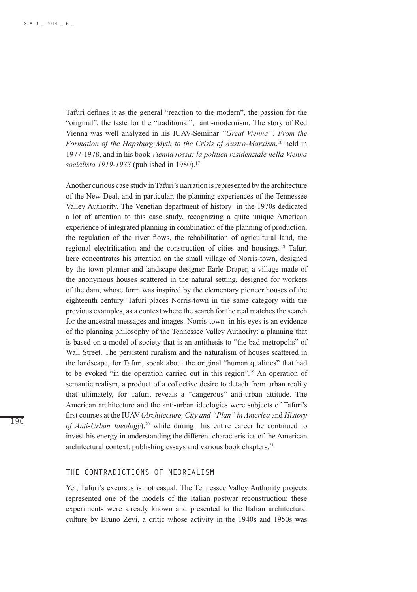Tafuri defines it as the general "reaction to the modern", the passion for the "original", the taste for the "traditional", anti-modernism. The story of Red Vienna was well analyzed in his IUAV-Seminar *"Great Vienna": From the Formation of the Hapsburg Myth to the Crisis of Austro-Marxism*, 16 held in 1977-1978, and in his book *Vienna rossa: la politica residenziale nella Vienna socialista 1919-1933* (published in 1980).17

Another curious case study in Tafuri's narration is represented by the architecture of the New Deal, and in particular, the planning experiences of the Tennessee Valley Authority. The Venetian department of history in the 1970s dedicated a lot of attention to this case study, recognizing a quite unique American experience of integrated planning in combination of the planning of production, the regulation of the river flows, the rehabilitation of agricultural land, the regional electrification and the construction of cities and housings.18 Tafuri here concentrates his attention on the small village of Norris-town, designed by the town planner and landscape designer Earle Draper, a village made of the anonymous houses scattered in the natural setting, designed for workers of the dam, whose form was inspired by the elementary pioneer houses of the eighteenth century. Tafuri places Norris-town in the same category with the previous examples, as a context where the search for the real matches the search for the ancestral messages and images. Norris-town in his eyes is an evidence of the planning philosophy of the Tennessee Valley Authority: a planning that is based on a model of society that is an antithesis to "the bad metropolis" of Wall Street. The persistent ruralism and the naturalism of houses scattered in the landscape, for Tafuri, speak about the original "human qualities" that had to be evoked "in the operation carried out in this region".19 An operation of semantic realism, a product of a collective desire to detach from urban reality that ultimately, for Tafuri, reveals a "dangerous" anti-urban attitude. The American architecture and the anti-urban ideologies were subjects of Tafuri's first courses at the IUAV (*Architecture, City and "Plan" in America* and *History of Anti-Urban Ideology*),20 while during his entire career he continued to invest his energy in understanding the different characteristics of the American architectural context, publishing essays and various book chapters.21

#### **THE CONTRADICTIONS OF NEOREALISM**

Yet, Tafuri's excursus is not casual. The Tennessee Valley Authority projects represented one of the models of the Italian postwar reconstruction: these experiments were already known and presented to the Italian architectural culture by Bruno Zevi, a critic whose activity in the 1940s and 1950s was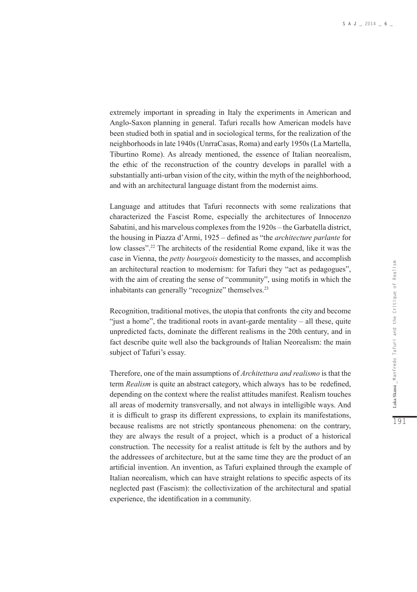extremely important in spreading in Italy the experiments in American and Anglo-Saxon planning in general. Tafuri recalls how American models have been studied both in spatial and in sociological terms, for the realization of the neighborhoods in late 1940s (UnrraCasas, Roma) and early 1950s (La Martella, Tiburtino Rome). As already mentioned, the essence of Italian neorealism, the ethic of the reconstruction of the country develops in parallel with a substantially anti-urban vision of the city, within the myth of the neighborhood, and with an architectural language distant from the modernist aims.

Language and attitudes that Tafuri reconnects with some realizations that characterized the Fascist Rome, especially the architectures of Innocenzo Sabatini, and his marvelous complexes from the 1920s – the Garbatella district, the housing in Piazza d'Armi, 1925 – defined as "the *architecture parlante* for low classes".22 The architects of the residential Rome expand, like it was the case in Vienna, the *petty bourgeois* domesticity to the masses, and accomplish an architectural reaction to modernism: for Tafuri they "act as pedagogues", with the aim of creating the sense of "community", using motifs in which the inhabitants can generally "recognize" themselves.<sup>23</sup>

Recognition, traditional motives, the utopia that confronts the city and become "just a home", the traditional roots in avant-garde mentality – all these, quite unpredicted facts, dominate the different realisms in the 20th century, and in fact describe quite well also the backgrounds of Italian Neorealism: the main subject of Tafuri's essay.

Therefore, one of the main assumptions of *Architettura and realismo* is that the term *Realism* is quite an abstract category, which always has to be redefined, depending on the context where the realist attitudes manifest. Realism touches all areas of modernity transversally, and not always in intelligible ways. And it is difficult to grasp its different expressions, to explain its manifestations, because realisms are not strictly spontaneous phenomena: on the contrary, they are always the result of a project, which is a product of a historical construction. The necessity for a realist attitude is felt by the authors and by the addressees of architecture, but at the same time they are the product of an artificial invention. An invention, as Tafuri explained through the example of Italian neorealism, which can have straight relations to specific aspects of its neglected past (Fascism): the collectivization of the architectural and spatial experience, the identification in a community.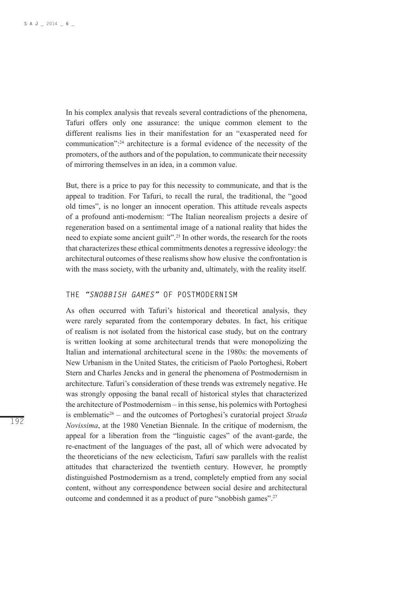In his complex analysis that reveals several contradictions of the phenomena, Tafuri offers only one assurance: the unique common element to the different realisms lies in their manifestation for an "exasperated need for communication":24 architecture is a formal evidence of the necessity of the promoters, of the authors and of the population, to communicate their necessity of mirroring themselves in an idea, in a common value.

But, there is a price to pay for this necessity to communicate, and that is the appeal to tradition. For Tafuri, to recall the rural, the traditional, the "good old times", is no longer an innocent operation. This attitude reveals aspects of a profound anti-modernism: "The Italian neorealism projects a desire of regeneration based on a sentimental image of a national reality that hides the need to expiate some ancient guilt".25 In other words, the research for the roots that characterizes these ethical commitments denotes a regressive ideology: the architectural outcomes of these realisms show how elusive the confrontation is with the mass society, with the urbanity and, ultimately, with the reality itself.

## **THE** *"SNOBBISH GAMES"* **OF POSTMODERNISM**

As often occurred with Tafuri's historical and theoretical analysis, they were rarely separated from the contemporary debates. In fact, his critique of realism is not isolated from the historical case study, but on the contrary is written looking at some architectural trends that were monopolizing the Italian and international architectural scene in the 1980s: the movements of New Urbanism in the United States, the criticism of Paolo Portoghesi, Robert Stern and Charles Jencks and in general the phenomena of Postmodernism in architecture. Tafuri's consideration of these trends was extremely negative. He was strongly opposing the banal recall of historical styles that characterized the architecture of Postmodernism – in this sense, his polemics with Portoghesi is emblematic26 – and the outcomes of Portoghesi's curatorial project *Strada Novissima*, at the 1980 Venetian Biennale. In the critique of modernism, the appeal for a liberation from the "linguistic cages" of the avant-garde, the re-enactment of the languages of the past, all of which were advocated by the theoreticians of the new eclecticism, Tafuri saw parallels with the realist attitudes that characterized the twentieth century. However, he promptly distinguished Postmodernism as a trend, completely emptied from any social content, without any correspondence between social desire and architectural outcome and condemned it as a product of pure "snobbish games".27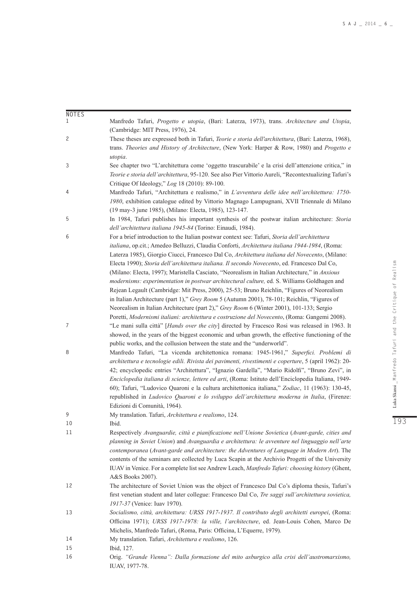| <b>NOTES</b> |                                                                                                                                                                                                                                                                                                                                                                                                                                                                                                                                                             |
|--------------|-------------------------------------------------------------------------------------------------------------------------------------------------------------------------------------------------------------------------------------------------------------------------------------------------------------------------------------------------------------------------------------------------------------------------------------------------------------------------------------------------------------------------------------------------------------|
| 1            | Manfredo Tafuri, Progetto e utopia, (Bari: Laterza, 1973), trans. Architecture and Utopia,                                                                                                                                                                                                                                                                                                                                                                                                                                                                  |
| 2            | (Cambridge: MIT Press, 1976), 24.<br>These theses are expressed both in Tafuri, <i>Teorie e storia dell'architettura</i> , (Bari: Laterza, 1968),                                                                                                                                                                                                                                                                                                                                                                                                           |
|              | trans. Theories and History of Architecture, (New York: Harper & Row, 1980) and Progetto e<br>utopia.                                                                                                                                                                                                                                                                                                                                                                                                                                                       |
| 3            | See chapter two "L'architettura come 'oggetto trascurabile' e la crisi dell'attenzione critica," in                                                                                                                                                                                                                                                                                                                                                                                                                                                         |
|              | Teorie e storia dell'architettura, 95-120. See also Pier Vittorio Aureli, "Recontextualizing Tafuri's<br>Critique Of Ideology," Log 18 (2010): 89-100.                                                                                                                                                                                                                                                                                                                                                                                                      |
| 4            | Manfredo Tafuri, "Architettura e realismo," in L'avventura delle idee nell'architettura: 1750-                                                                                                                                                                                                                                                                                                                                                                                                                                                              |
|              | 1980, exhibition catalogue edited by Vittorio Magnago Lampugnani, XVII Triennale di Milano<br>(19 may-3 june 1985), (Milano: Electa, 1985), 123-147.                                                                                                                                                                                                                                                                                                                                                                                                        |
| 5            | In 1984, Tafuri publishes his important synthesis of the postwar italian architecture: Storia                                                                                                                                                                                                                                                                                                                                                                                                                                                               |
|              | dell'architettura italiana 1945-84 (Torino: Einaudi, 1984).                                                                                                                                                                                                                                                                                                                                                                                                                                                                                                 |
| 6            | For a brief introduction to the Italian postwar context see: Tafuri, Storia dell'architettura<br>italiana, op.cit.; Amedeo Belluzzi, Claudia Conforti, Architettura italiana 1944-1984, (Roma:<br>Laterza 1985), Giorgio Ciucci, Francesco Dal Co, Architettura italiana del Novecento, (Milano:<br>Electa 1990); Storia dell'architettura italiana. Il secondo Novecento, ed. Francesco Dal Co,                                                                                                                                                            |
|              | (Milano: Electa, 1997); Maristella Casciato, "Neorealism in Italian Architecture," in Anxious<br>modernisms: experimentation in postwar architectural culture, ed. S. Williams Goldhagen and<br>Rejean Legault (Cambridge: Mit Press, 2000), 25-53; Bruno Reichlin, "Figures of Neorealism<br>in Italian Architecture (part 1)," Grey Room 5 (Autumn 2001), 78-101; Reichlin, "Figures of                                                                                                                                                                   |
|              | Neorealism in Italian Architecture (part 2)," Grey Room 6 (Winter 2001), 101-133; Sergio                                                                                                                                                                                                                                                                                                                                                                                                                                                                    |
|              | Poretti, Modernismi italiani: architettura e costruzione del Novecento, (Roma: Gangemi 2008).                                                                                                                                                                                                                                                                                                                                                                                                                                                               |
| 7            | "Le mani sulla città" [Hands over the city] directed by Fracesco Rosi was released in 1963. It<br>showed, in the years of the biggest economic and urban growth, the effective functioning of the                                                                                                                                                                                                                                                                                                                                                           |
| 8            | public works, and the collusion between the state and the "underworld".<br>Manfredo Tafuri, "La vicenda architettonica romana: 1945-1961," Superfici. Problemi di                                                                                                                                                                                                                                                                                                                                                                                           |
|              | architettura e tecnologie edili. Rivista dei pavimenti, rivestimenti e coperture, 5 (april 1962): 20-<br>42; encyclopedic entries "Architettura", "Ignazio Gardella", "Mario Ridolfi", "Bruno Zevi", in<br>Enciclopedia italiana di scienze, lettere ed arti, (Roma: Istituto dell'Enciclopedia Italiana, 1949-<br>60); Tafuri, "Ludovico Quaroni e la cultura architettonica italiana," Zodiac, 11 (1963): 130-45,<br>republished in <i>Ludovico Quaroni e lo sviluppo dell'architettura moderna in Italia</i> , (Firenze:<br>Edizioni di Comunità, 1964). |
| 9            | My translation. Tafuri, Architettura e realismo, 124.                                                                                                                                                                                                                                                                                                                                                                                                                                                                                                       |
| 10           | Ibid.                                                                                                                                                                                                                                                                                                                                                                                                                                                                                                                                                       |
| 11           | Respectively Avanguardie, città e pianificazione nell'Unione Sovietica (Avant-garde, cities and<br>planning in Soviet Union) and Avanguardia e architettura: le avventure nel linguaggio nell'arte<br>contemporanea (Avant-garde and architecture: the Adventures of Language in Modern Art). The<br>contents of the seminars are collected by Luca Scapin at the Archivio Progetti of the University<br>IUAV in Venice. For a complete list see Andrew Leach, <i>Manfredo Tafuri: choosing history</i> (Ghent,<br>A&S Books 2007).                         |
| 12           | The architecture of Soviet Union was the object of Francesco Dal Co's diploma thesis, Tafuri's<br>first venetian student and later collegue: Francesco Dal Co, Tre saggi sull'architettura sovietica,                                                                                                                                                                                                                                                                                                                                                       |
|              | 1917-37 (Venice: Iuav 1970).                                                                                                                                                                                                                                                                                                                                                                                                                                                                                                                                |
| 13           | Socialismo, città, architettura: URSS 1917-1937. Il contributo degli architetti europei, (Roma:<br>Officina 1971); URSS 1917-1978: la ville, l'architecture, ed. Jean-Louis Cohen, Marco De                                                                                                                                                                                                                                                                                                                                                                 |
|              | Michelis, Manfredo Tafuri, (Roma, Paris: Officina, L'Equerre, 1979).                                                                                                                                                                                                                                                                                                                                                                                                                                                                                        |
| 14<br>15     | My translation. Tafuri, Architettura e realismo, 126.<br>Ibid, 127.                                                                                                                                                                                                                                                                                                                                                                                                                                                                                         |
| 16           | Orig. "Grande Vienna": Dalla formazione del mito asburgico alla crisi dell'austromarxismo,<br>IUAV, 1977-78.                                                                                                                                                                                                                                                                                                                                                                                                                                                |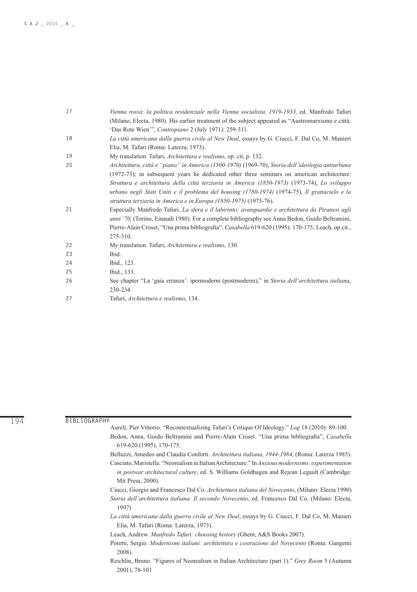| 17 | Vienna rossa: la politica residenziale nella Vienna socialista, 1919-1933, ed. Manfredo Tafuri    |
|----|---------------------------------------------------------------------------------------------------|
|    | (Milano, Electa, 1980). His earlier treatment of the subject appeared as "Austromarxismo e città: |
|    | 'Das Rote Wien'", <i>Contropiano</i> 2 (July 1971): 259-311.                                      |
| 18 | La città americana dalla guerra civile al New Deal, essays by G. Ciucci, F. Dal Co, M. Manieri    |
|    | Elia, M. Tafuri (Roma: Laterza, 1973).                                                            |
| 19 | My translation. Tafuri, <i>Architettura e realismo</i> , op. cit, p. 132.                         |
| 20 | Architettura, città e "piano" in America (1500-1970) (1969-70), Storia dell'ideologia antiurbana  |
|    | (1972-73); in subsequent years he dedicated other three seminars on american architecture:        |
|    | Struttura e architettura della città terziaria in America (1850-1973) (1973-74), Lo sviluppo      |
|    | urbano negli Stati Uniti e il problema del housing (1780-1974) (1974-75), Il grattacielo e la     |
|    | struttura terziaria in America e in Europa (1850-1975) (1975-76).                                 |
| 21 | Especially Manfredo Tafuri, La sfera e il labirinto: avanguardie e architettura da Piranesi agli  |
|    | anni '70, (Torino, Einaudi 1980). For a complete bibliography see Anna Bedon, Guido Beltramini,   |
|    | Pierre-Alain Croset, "Una prima bibliografia", Casabella 619-620 (1995): 170-175; Leach, op.cit., |
|    | 275-310.                                                                                          |
| 22 | My translation. Tafuri, <i>Architettura e realismo</i> , 130.                                     |
| 23 | Ibid.                                                                                             |
| 24 | Ibid., 123.                                                                                       |
| 25 | Ibid., 133.                                                                                       |
| 26 | See chapter "La 'gaia erranza': ipermoderni (postmoderni)," in Storia dell'architettura italiana, |
|    | 230-234.                                                                                          |
| 27 | Tafuri, Architettura e realismo, 134.                                                             |

**BIBLIOGRAPHY**

- Aureli, Pier Vittorio. "Recontextualizing Tafuri's Critique Of Ideology." *Log* 18 (2010): 89-100. Bedon, Anna, Guido Beltramini and Pierre-Alain Croset. "Una prima bibliografia", *Casabella* 619-620 (1995), 170-175.
- Belluzzi, Amedeo and Claudia Conforti. *Architettura italiana, 1944-1984*, (Roma: Laterza 1985).
- Casciato, Maristella. "Neorealism in Italian Architecture." In *Anxious modernisms: experimentation in postwar architectural culture*, ed. S. Williams Goldhagen and Rejean Legault (Cambridge: Mit Press, 2000).
- Ciucci, Giorgio and Francesco Dal Co. *Architettura italiana del Novecento*, (Milano: Electa 1990) *Storia dell'architettura italiana. Il secondo Novecento*, ed. Francesco Dal Co, (Milano: Electa, 1997)
- *La città americana dalla guerra civile al New Deal*, essays by G. Ciucci, F. Dal Co, M. Manieri Elia, M. Tafuri (Roma: Laterza, 1973).
- Leach, Andrew. *Manfredo Tafuri: choosing history* (Ghent, A&S Books 2007).
- Poretti, Sergio. *Modernismi italiani: architettura e costruzione del Novecento* (Roma: Gangemi 2008).
- Reichlin, Bruno. "Figures of Neorealism in Italian Architecture (part 1)." *Grey Room* 5 (Autumn 2001), 78-101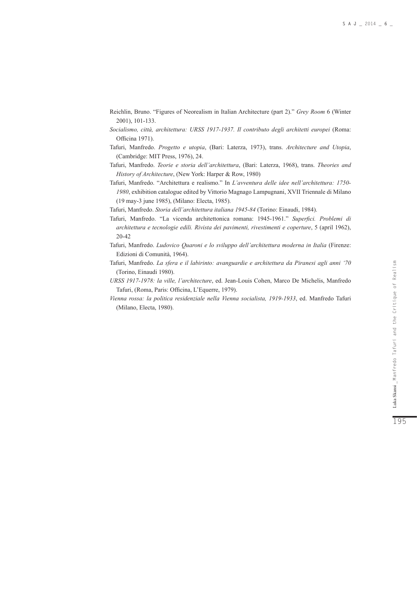- Reichlin, Bruno. "Figures of Neorealism in Italian Architecture (part 2)." *Grey Room* 6 (Winter 2001), 101-133.
- *Socialismo, città, architettura: URSS 1917-1937. Il contributo degli architetti europei* (Roma: Officina 1971).
- Tafuri, Manfredo. *Progetto e utopia*, (Bari: Laterza, 1973), trans. *Architecture and Utopia*, (Cambridge: MIT Press, 1976), 24.
- Tafuri, Manfredo. *Teorie e storia dell'architettura*, (Bari: Laterza, 1968), trans. *Theories and History of Architecture*, (New York: Harper & Row, 1980)
- Tafuri, Manfredo. "Architettura e realismo." In *L'avventura delle idee nell'architettura: 1750- 1980*, exhibition catalogue edited by Vittorio Magnago Lampugnani, XVII Triennale di Milano (19 may-3 june 1985), (Milano: Electa, 1985).
- Tafuri, Manfredo. *Storia dell'architettura italiana 1945-84* (Torino: Einaudi, 1984).
- Tafuri, Manfredo. "La vicenda architettonica romana: 1945-1961." *Superfici. Problemi di architettura e tecnologie edili. Rivista dei pavimenti, rivestimenti e coperture*, 5 (april 1962), 20-42
- Tafuri, Manfredo. *Ludovico Quaroni e lo sviluppo dell'architettura moderna in Italia* (Firenze: Edizioni di Comunità, 1964).
- Tafuri, Manfredo. *La sfera e il labirinto: avanguardie e architettura da Piranesi agli anni '70* (Torino, Einaudi 1980).
- *URSS 1917-1978: la ville, l'architecture*, ed. Jean-Louis Cohen, Marco De Michelis, Manfredo Tafuri, (Roma, Paris: Officina, L'Equerre, 1979).
- *Vienna rossa: la politica residenziale nella Vienna socialista, 1919-1933*, ed. Manfredo Tafuri (Milano, Electa, 1980).

195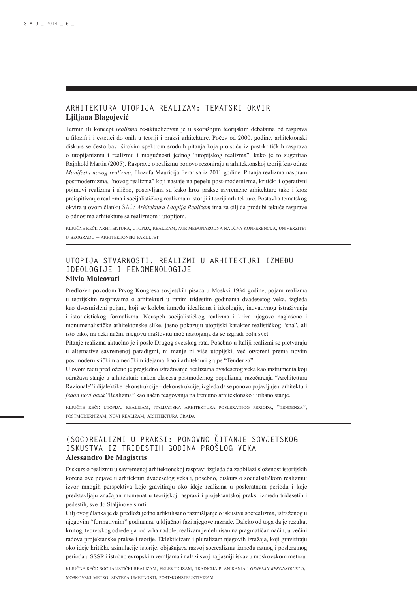#### **ARHITEKTURA UTOPIJA REALIZAM: TEMATSKI OKVIR Ljiljana Blagojević**

Termin ili koncept *realizma* re-aktuelizovan je u skorašnjim teorijskim debatama od rasprava u filozifiji i estetici do onih u teoriji i praksi arhitekture. Počev od 2000. godine, arhitektonski diskurs se često bavi širokim spektrom srodnih pitanja koja proističu iz post-kritičkih rasprava o utopijanizmu i realizmu i mogućnosti jednog "utopijskog realizma", kako je to sugerirao Rajnhold Martin (2005). Rasprave o realizmu ponovo rezoniraju u arhitektonskoj teoriji kao odraz *Manifesta novog realizma*, filozofa Mauricija Ferarisa iz 2011 godine. Pitanja realizma naspram postmodernizma, "novog realizma" koji nastaje na pepelu post-modernizma, kritički i operativni pojmovi realizma i slično, postavljana su kako kroz prakse savremene arhitekture tako i kroz preispitivanje realizma i socijalističkog realizma u istoriji i teoriji arhitekture. Postavka tematskog okvira u ovom članku SAJ*: Arhitektura Utopija Realizam* ima za cilj da produbi tekuće rasprave o odnosima arhitekture sa realizmom i utopijom.

ključne reči: arhitektura, utopija, realizam, aur međunarodna naučna konferencija, univerzitet u beogradu – arhitektonski fakultet

### **UTOPIJA STVARNOSTI. REALIZMI U ARHITEKTURI IZMEĐU IDEOLOGIJE I FENOMENOLOGIJE Silvia Malcovati**

Predložen povodom Prvog Kongresa sovjetskih pisaca u Moskvi 1934 godine, pojam realizma u teorijskim raspravama o arhitekturi u ranim tridestim godinama dvadesetog veka, izgleda kao dvosmisleni pojam, koji se koleba između idealizma i ideologije, inovativnog istraživanja i istoricističkog formalizma. Neuspeh socijalističkog realizma i kriza njegove naglašene i monumenalističke arhitektonske slike, jasno pokazuju utopijski karakter realističkog "sna", ali isto tako, na neki način, njegovu maštovitu moć nastojanja da se izgradi bolji svet.

Pitanje realizma aktuelno je i posle Drugog svetskog rata. Posebno u Italiji realizmi se pretvaraju u alternative savremenoj paradigmi, ni manje ni više utopijski, već otvoreni prema novim postmodernističkim američkim idejama, kao i arhitekturi grupe "Tendenza".

U ovom radu predloženo je pregledno istraživanje realizama dvadesetog veka kao instrumenta koji odražava stanje u arhitekturi: nakon ekscesa postmodernog populizma, razočarenja "Architettura Razionale" i dijalektike rekonstrukcije – dekonstrukcije, izgleda da se ponovo pojavljuje u arhitekturi *jedan novi bauk* "Realizma" kao način reagovanja na trenutno arhitektonsko i urbano stanje.

ključne reči: utopija, realizam, italijanska arhitektura posleratnog perioda, "tendenza", postmodernizam, novi realizam, arhitektura grada

### **Ž (SOC)REALIZMI U PRAKSI: PONOVNO CITANJE SOVJETSKOG ISKUSTVA IZ TRIDESTIH GODINA PROŠLOG VEKA Alessandro De Magistris**

Diskurs o realizmu u savremenoj arhitektonskoj raspravi izgleda da zaobilazi složenost istorijskih korena ove pojave u arhitekturi dvadesetog veka i, posebno, diskurs o socijalsitičkom realizmu: izvor mnogih perspektiva koje gravitiraju oko ideje realizma u posleratnom periodu i koje predstavljaju značajan momenat u teorijskoj raspravi i projektantskoj praksi između tridesetih i pedestih, sve do Staljinove smrti.

Cilj ovog članka je da predloži jedno artikulisano razmišljanje o iskustvu socrealizma, istraženog u njegovim "formativnim" godinama, u ključnoj fazi njegove razrade. Daleko od toga da je rezultat krutog, teoretskog određenja od vrha nadole, realizam je definisan na pragmatičan način, u većini radova projektanske prakse i teorije. Eklekticizam i pluralizam njegovih izražaja, koji gravitiraju oko ideje kritičke asimilacije istorije, objašnjava razvoj socrealizma između ratnog i posleratnog perioda u SSSR i istočno evropskim zemljama i nalazi svoj najjasniji iskaz u moskovskom metrou.

ključne reči: socijalistički realizam, eklekticizam, tradicija planiranja <sup>i</sup> *genplan rekonstrukcii*, moskovski metro, sinteza umetnosti, post-konstruktivizam